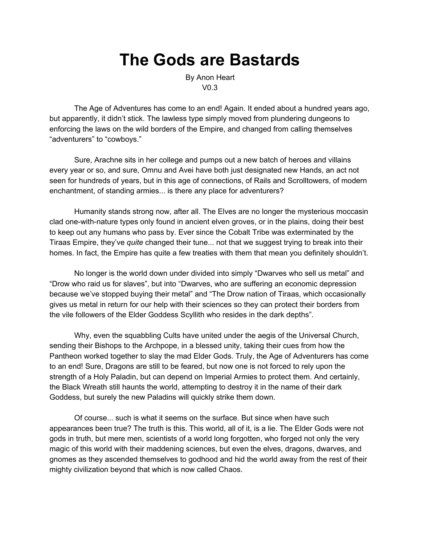# **The Gods are Bastards**

By Anon Heart V0.3

The Age of Adventures has come to an end! Again. It ended about a hundred years ago, but apparently, it didn't stick. The lawless type simply moved from plundering dungeons to enforcing the laws on the wild borders of the Empire, and changed from calling themselves "adventurers" to "cowboys."

Sure, Arachne sits in her college and pumps out a new batch of heroes and villains every year or so, and sure, Omnu and Avei have both just designated new Hands, an act not seen for hundreds of years, but in this age of connections, of Rails and Scrolltowers, of modern enchantment, of standing armies... is there any place for adventurers?

Humanity stands strong now, after all. The Elves are no longer the mysterious moccasin clad one-with-nature types only found in ancient elven groves, or in the plains, doing their best to keep out any humans who pass by. Ever since the Cobalt Tribe was exterminated by the Tiraas Empire, they've *quite* changed their tune... not that we suggest trying to break into their homes. In fact, the Empire has quite a few treaties with them that mean you definitely shouldn't.

No longer is the world down under divided into simply "Dwarves who sell us metal" and "Drow who raid us for slaves", but into "Dwarves, who are suffering an economic depression because we've stopped buying their metal" and "The Drow nation of Tiraas, which occasionally gives us metal in return for our help with their sciences so they can protect their borders from the vile followers of the Elder Goddess Scyllith who resides in the dark depths".

Why, even the squabbling Cults have united under the aegis of the Universal Church, sending their Bishops to the Archpope, in a blessed unity, taking their cues from how the Pantheon worked together to slay the mad Elder Gods. Truly, the Age of Adventurers has come to an end! Sure, Dragons are still to be feared, but now one is not forced to rely upon the strength of a Holy Paladin, but can depend on Imperial Armies to protect them. And certainly, the Black Wreath still haunts the world, attempting to destroy it in the name of their dark Goddess, but surely the new Paladins will quickly strike them down.

Of course... such is what it seems on the surface. But since when have such appearances been true? The truth is this. This world, all of it, is a lie. The Elder Gods were not gods in truth, but mere men, scientists of a world long forgotten, who forged not only the very magic of this world with their maddening sciences, but even the elves, dragons, dwarves, and gnomes as they ascended themselves to godhood and hid the world away from the rest of their mighty civilization beyond that which is now called Chaos.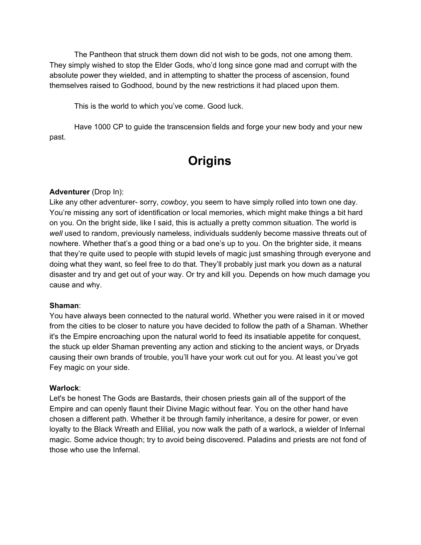The Pantheon that struck them down did not wish to be gods, not one among them. They simply wished to stop the Elder Gods, who'd long since gone mad and corrupt with the absolute power they wielded, and in attempting to shatter the process of ascension, found themselves raised to Godhood, bound by the new restrictions it had placed upon them.

This is the world to which you've come. Good luck.

Have 1000 CP to guide the transcension fields and forge your new body and your new past.

## **Origins**

### **Adventurer** (Drop In):

Like any other adventurer- sorry, *cowboy*, you seem to have simply rolled into town one day. You're missing any sort of identification or local memories, which might make things a bit hard on you. On the bright side, like I said, this is actually a pretty common situation. The world is *well* used to random, previously nameless, individuals suddenly become massive threats out of nowhere. Whether that's a good thing or a bad one's up to you. On the brighter side, it means that they're quite used to people with stupid levels of magic just smashing through everyone and doing what they want, so feel free to do that. They'll probably just mark you down as a natural disaster and try and get out of your way. Or try and kill you. Depends on how much damage you cause and why.

### **Shaman**:

You have always been connected to the natural world. Whether you were raised in it or moved from the cities to be closer to nature you have decided to follow the path of a Shaman. Whether it's the Empire encroaching upon the natural world to feed its insatiable appetite for conquest, the stuck up elder Shaman preventing any action and sticking to the ancient ways, or Dryads causing their own brands of trouble, you'll have your work cut out for you. At least you've got Fey magic on your side.

### **Warlock**:

Let's be honest The Gods are Bastards, their chosen priests gain all of the support of the Empire and can openly flaunt their Divine Magic without fear. You on the other hand have chosen a different path. Whether it be through family inheritance, a desire for power, or even loyalty to the Black Wreath and Elilial, you now walk the path of a warlock, a wielder of Infernal magic. Some advice though; try to avoid being discovered. Paladins and priests are not fond of those who use the Infernal.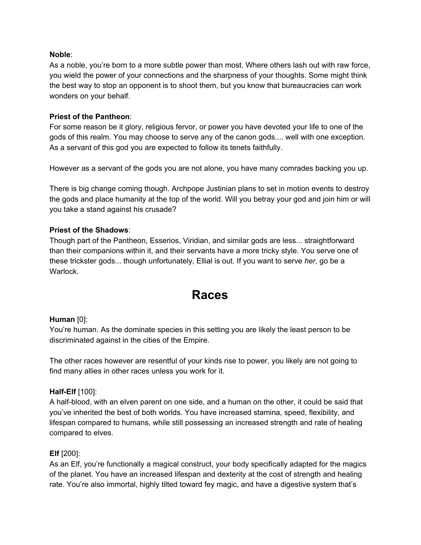### **Noble**:

As a noble, you're born to a more subtle power than most. Where others lash out with raw force, you wield the power of your connections and the sharpness of your thoughts. Some might think the best way to stop an opponent is to shoot them, but you know that bureaucracies can work wonders on your behalf.

### **Priest of the Pantheon**:

For some reason be it glory, religious fervor, or power you have devoted your life to one of the gods of this realm. You may choose to serve any of the canon gods.... well with one exception. As a servant of this god you are expected to follow its tenets faithfully.

However as a servant of the gods you are not alone, you have many comrades backing you up.

There is big change coming though. Archpope Justinian plans to set in motion events to destroy the gods and place humanity at the top of the world. Will you betray your god and join him or will you take a stand against his crusade?

### **Priest of the Shadows**:

Though part of the Pantheon, Esserios, Viridian, and similar gods are less... straightforward than their companions within it, and their servants have a more tricky style. You serve one of these trickster gods... though unfortunately, Ellial is out. If you want to serve *her,* go be a Warlock.

### **Races**

### **Human** [0]:

You're human. As the dominate species in this setting you are likely the least person to be discriminated against in the cities of the Empire.

The other races however are resentful of your kinds rise to power, you likely are not going to find many allies in other races unless you work for it.

### **Half-Elf** [100]:

A half-blood, with an elven parent on one side, and a human on the other, it could be said that you've inherited the best of both worlds. You have increased stamina, speed, flexibility, and lifespan compared to humans, while still possessing an increased strength and rate of healing compared to elves.

### **Elf** [200]:

As an Elf, you're functionally a magical construct, your body specifically adapted for the magics of the planet. You have an increased lifespan and dexterity at the cost of strength and healing rate. You're also immortal, highly tilted toward fey magic, and have a digestive system that's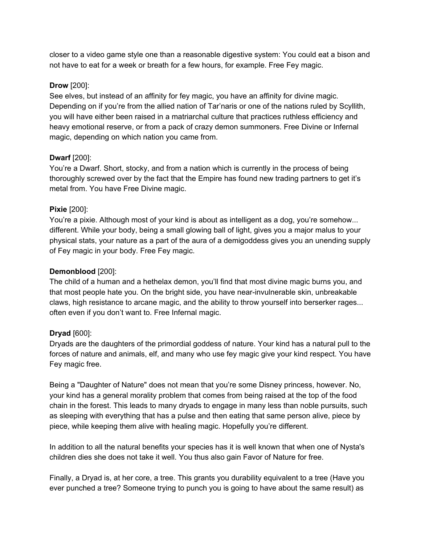closer to a video game style one than a reasonable digestive system: You could eat a bison and not have to eat for a week or breath for a few hours, for example. Free Fey magic.

### **Drow** [200]:

See elves, but instead of an affinity for fey magic, you have an affinity for divine magic. Depending on if you're from the allied nation of Tar'naris or one of the nations ruled by Scyllith, you will have either been raised in a matriarchal culture that practices ruthless efficiency and heavy emotional reserve, or from a pack of crazy demon summoners. Free Divine or Infernal magic, depending on which nation you came from.

### **Dwarf** [200]:

You're a Dwarf. Short, stocky, and from a nation which is currently in the process of being thoroughly screwed over by the fact that the Empire has found new trading partners to get it's metal from. You have Free Divine magic.

### **Pixie** [200]:

You're a pixie. Although most of your kind is about as intelligent as a dog, you're somehow... different. While your body, being a small glowing ball of light, gives you a major malus to your physical stats, your nature as a part of the aura of a demigoddess gives you an unending supply of Fey magic in your body. Free Fey magic.

### **Demonblood** [200]:

The child of a human and a hethelax demon, you'll find that most divine magic burns you, and that most people hate you. On the bright side, you have near-invulnerable skin, unbreakable claws, high resistance to arcane magic, and the ability to throw yourself into berserker rages... often even if you don't want to. Free Infernal magic.

### **Dryad** [600]:

Dryads are the daughters of the primordial goddess of nature. Your kind has a natural pull to the forces of nature and animals, elf, and many who use fey magic give your kind respect. You have Fey magic free.

Being a "Daughter of Nature" does not mean that you're some Disney princess, however. No, your kind has a general morality problem that comes from being raised at the top of the food chain in the forest. This leads to many dryads to engage in many less than noble pursuits, such as sleeping with everything that has a pulse and then eating that same person alive, piece by piece, while keeping them alive with healing magic. Hopefully you're different.

In addition to all the natural benefits your species has it is well known that when one of Nysta's children dies she does not take it well. You thus also gain Favor of Nature for free.

Finally, a Dryad is, at her core, a tree. This grants you durability equivalent to a tree (Have you ever punched a tree? Someone trying to punch you is going to have about the same result) as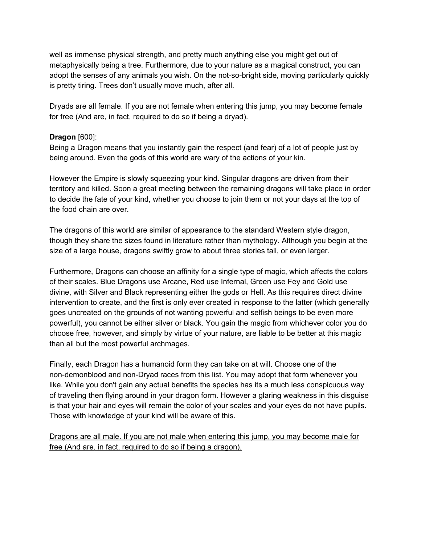well as immense physical strength, and pretty much anything else you might get out of metaphysically being a tree. Furthermore, due to your nature as a magical construct, you can adopt the senses of any animals you wish. On the not-so-bright side, moving particularly quickly is pretty tiring. Trees don't usually move much, after all.

Dryads are all female. If you are not female when entering this jump, you may become female for free (And are, in fact, required to do so if being a dryad).

### **Dragon** [600]:

Being a Dragon means that you instantly gain the respect (and fear) of a lot of people just by being around. Even the gods of this world are wary of the actions of your kin.

However the Empire is slowly squeezing your kind. Singular dragons are driven from their territory and killed. Soon a great meeting between the remaining dragons will take place in order to decide the fate of your kind, whether you choose to join them or not your days at the top of the food chain are over.

The dragons of this world are similar of appearance to the standard Western style dragon, though they share the sizes found in literature rather than mythology. Although you begin at the size of a large house, dragons swiftly grow to about three stories tall, or even larger.

Furthermore, Dragons can choose an affinity for a single type of magic, which affects the colors of their scales. Blue Dragons use Arcane, Red use Infernal, Green use Fey and Gold use divine, with Silver and Black representing either the gods or Hell. As this requires direct divine intervention to create, and the first is only ever created in response to the latter (which generally goes uncreated on the grounds of not wanting powerful and selfish beings to be even more powerful), you cannot be either silver or black. You gain the magic from whichever color you do choose free, however, and simply by virtue of your nature, are liable to be better at this magic than all but the most powerful archmages.

Finally, each Dragon has a humanoid form they can take on at will. Choose one of the non-demonblood and non-Dryad races from this list. You may adopt that form whenever you like. While you don't gain any actual benefits the species has its a much less conspicuous way of traveling then flying around in your dragon form. However a glaring weakness in this disguise is that your hair and eyes will remain the color of your scales and your eyes do not have pupils. Those with knowledge of your kind will be aware of this.

Dragons are all male. If you are not male when entering this jump, you may become male for free (And are, in fact, required to do so if being a dragon).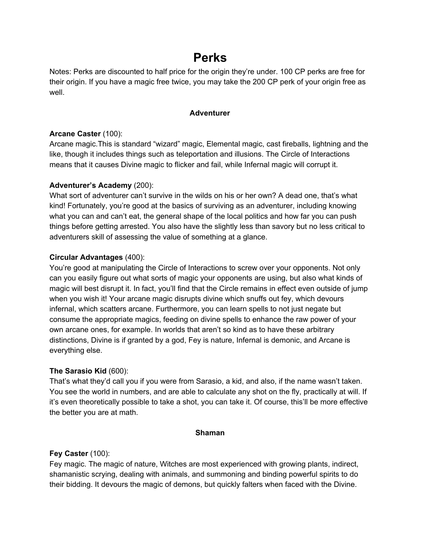### **Perks**

Notes: Perks are discounted to half price for the origin they're under. 100 CP perks are free for their origin. If you have a magic free twice, you may take the 200 CP perk of your origin free as well.

### **Adventurer**

### **Arcane Caster** (100):

Arcane magic.This is standard "wizard" magic, Elemental magic, cast fireballs, lightning and the like, though it includes things such as teleportation and illusions. The Circle of Interactions means that it causes Divine magic to flicker and fail, while Infernal magic will corrupt it.

### **Adventurer's Academy** (200):

What sort of adventurer can't survive in the wilds on his or her own? A dead one, that's what kind! Fortunately, you're good at the basics of surviving as an adventurer, including knowing what you can and can't eat, the general shape of the local politics and how far you can push things before getting arrested. You also have the slightly less than savory but no less critical to adventurers skill of assessing the value of something at a glance.

### **Circular Advantages** (400):

You're good at manipulating the Circle of Interactions to screw over your opponents. Not only can you easily figure out what sorts of magic your opponents are using, but also what kinds of magic will best disrupt it. In fact, you'll find that the Circle remains in effect even outside of jump when you wish it! Your arcane magic disrupts divine which snuffs out fey, which devours infernal, which scatters arcane. Furthermore, you can learn spells to not just negate but consume the appropriate magics, feeding on divine spells to enhance the raw power of your own arcane ones, for example. In worlds that aren't so kind as to have these arbitrary distinctions, Divine is if granted by a god, Fey is nature, Infernal is demonic, and Arcane is everything else.

### **The Sarasio Kid** (600):

That's what they'd call you if you were from Sarasio, a kid, and also, if the name wasn't taken. You see the world in numbers, and are able to calculate any shot on the fly, practically at will. If it's even theoretically possible to take a shot, you can take it. Of course, this'll be more effective the better you are at math.

### **Shaman**

### **Fey Caster** (100):

Fey magic. The magic of nature, Witches are most experienced with growing plants, indirect, shamanistic scrying, dealing with animals, and summoning and binding powerful spirits to do their bidding. It devours the magic of demons, but quickly falters when faced with the Divine.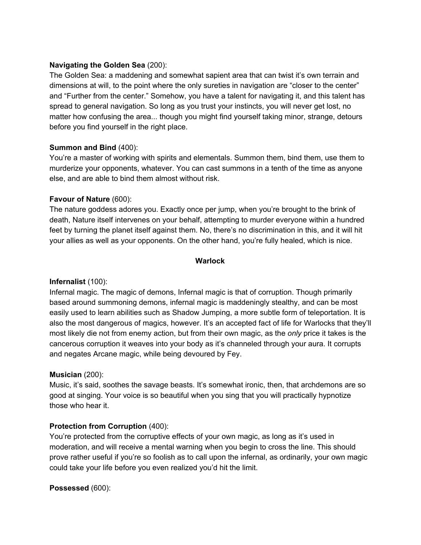### **Navigating the Golden Sea** (200):

The Golden Sea: a maddening and somewhat sapient area that can twist it's own terrain and dimensions at will, to the point where the only sureties in navigation are "closer to the center" and "Further from the center." Somehow, you have a talent for navigating it, and this talent has spread to general navigation. So long as you trust your instincts, you will never get lost, no matter how confusing the area... though you might find yourself taking minor, strange, detours before you find yourself in the right place.

### **Summon and Bind** (400):

You're a master of working with spirits and elementals. Summon them, bind them, use them to murderize your opponents, whatever. You can cast summons in a tenth of the time as anyone else, and are able to bind them almost without risk.

### **Favour of Nature** (600):

The nature goddess adores you. Exactly once per jump, when you're brought to the brink of death, Nature itself intervenes on your behalf, attempting to murder everyone within a hundred feet by turning the planet itself against them. No, there's no discrimination in this, and it will hit your allies as well as your opponents. On the other hand, you're fully healed, which is nice.

### **Warlock**

### **Infernalist** (100):

Infernal magic. The magic of demons, Infernal magic is that of corruption. Though primarily based around summoning demons, infernal magic is maddeningly stealthy, and can be most easily used to learn abilities such as Shadow Jumping, a more subtle form of teleportation. It is also the most dangerous of magics, however. It's an accepted fact of life for Warlocks that they'll most likely die not from enemy action, but from their own magic, as the *only* price it takes is the cancerous corruption it weaves into your body as it's channeled through your aura. It corrupts and negates Arcane magic, while being devoured by Fey.

### **Musician** (200):

Music, it's said, soothes the savage beasts. It's somewhat ironic, then, that archdemons are so good at singing. Your voice is so beautiful when you sing that you will practically hypnotize those who hear it.

### **Protection from Corruption** (400):

You're protected from the corruptive effects of your own magic, as long as it's used in moderation, and will receive a mental warning when you begin to cross the line. This should prove rather useful if you're so foolish as to call upon the infernal, as ordinarily, your own magic could take your life before you even realized you'd hit the limit.

### **Possessed** (600):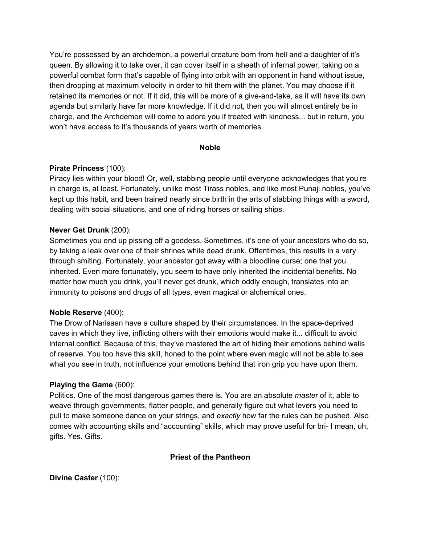You're possessed by an archdemon, a powerful creature born from hell and a daughter of it's queen. By allowing it to take over, it can cover itself in a sheath of infernal power, taking on a powerful combat form that's capable of flying into orbit with an opponent in hand without issue, then dropping at maximum velocity in order to hit them with the planet. You may choose if it retained its memories or not. If it did, this will be more of a give-and-take, as it will have its own agenda but similarly have far more knowledge. If it did not, then you will almost entirely be in charge, and the Archdemon will come to adore you if treated with kindness... but in return, you won't have access to it's thousands of years worth of memories.

### **Noble**

### **Pirate Princess** (100):

Piracy lies within your blood! Or, well, stabbing people until everyone acknowledges that you're in charge is, at least. Fortunately, unlike most Tirass nobles, and like most Punaji nobles, you've kept up this habit, and been trained nearly since birth in the arts of stabbing things with a sword, dealing with social situations, and one of riding horses or sailing ships.

### **Never Get Drunk** (200):

Sometimes you end up pissing off a goddess. Sometimes, it's one of your ancestors who do so, by taking a leak over one of their shrines while dead drunk. Oftentimes, this results in a very through smiting. Fortunately, your ancestor got away with a bloodline curse; one that you inherited. Even more fortunately, you seem to have only inherited the incidental benefits. No matter how much you drink, you'll never get drunk, which oddly enough, translates into an immunity to poisons and drugs of all types, even magical or alchemical ones.

### **Noble Reserve** (400):

The Drow of Narisaan have a culture shaped by their circumstances. In the space-deprived caves in which they live, inflicting others with their emotions would make it... difficult to avoid internal conflict. Because of this, they've mastered the art of hiding their emotions behind walls of reserve. You too have this skill, honed to the point where even magic will not be able to see what you see in truth, not influence your emotions behind that iron grip you have upon them.

### **Playing the Game** (600):

Politics. One of the most dangerous games there is. You are an absolute *master* of it, able to weave through governments, flatter people, and generally figure out what levers you need to pull to make someone dance on your strings, and *exactly* how far the rules can be pushed. Also comes with accounting skills and "accounting" skills, which may prove useful for bri- I mean, uh, gifts. Yes. Gifts.

### **Priest of the Pantheon**

### **Divine Caster** (100):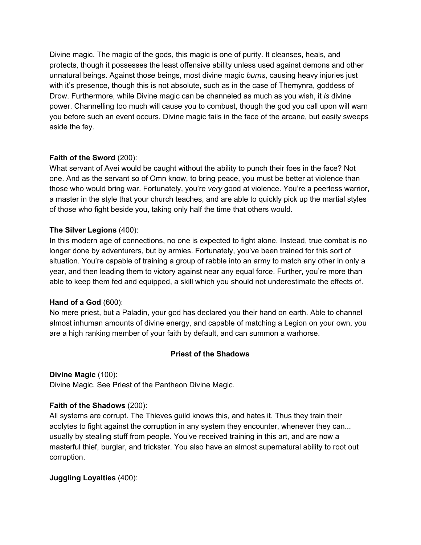Divine magic. The magic of the gods, this magic is one of purity. It cleanses, heals, and protects, though it possesses the least offensive ability unless used against demons and other unnatural beings. Against those beings, most divine magic *burns*, causing heavy injuries just with it's presence, though this is not absolute, such as in the case of Themynra, goddess of Drow. Furthermore, while Divine magic can be channeled as much as you wish, it *is* divine power. Channelling too much will cause you to combust, though the god you call upon will warn you before such an event occurs. Divine magic fails in the face of the arcane, but easily sweeps aside the fey.

### **Faith of the Sword** (200):

What servant of Avei would be caught without the ability to punch their foes in the face? Not one. And as the servant so of Omn know, to bring peace, you must be better at violence than those who would bring war. Fortunately, you're *very* good at violence. You're a peerless warrior, a master in the style that your church teaches, and are able to quickly pick up the martial styles of those who fight beside you, taking only half the time that others would.

### **The Silver Legions** (400):

In this modern age of connections, no one is expected to fight alone. Instead, true combat is no longer done by adventurers, but by armies. Fortunately, you've been trained for this sort of situation. You're capable of training a group of rabble into an army to match any other in only a year, and then leading them to victory against near any equal force. Further, you're more than able to keep them fed and equipped, a skill which you should not underestimate the effects of.

### **Hand of a God** (600):

No mere priest, but a Paladin, your god has declared you their hand on earth. Able to channel almost inhuman amounts of divine energy, and capable of matching a Legion on your own, you are a high ranking member of your faith by default, and can summon a warhorse.

### **Priest of the Shadows**

### **Divine Magic** (100):

Divine Magic. See Priest of the Pantheon Divine Magic.

### **Faith of the Shadows** (200):

All systems are corrupt. The Thieves guild knows this, and hates it. Thus they train their acolytes to fight against the corruption in any system they encounter, whenever they can... usually by stealing stuff from people. You've received training in this art, and are now a masterful thief, burglar, and trickster. You also have an almost supernatural ability to root out corruption.

### **Juggling Loyalties** (400):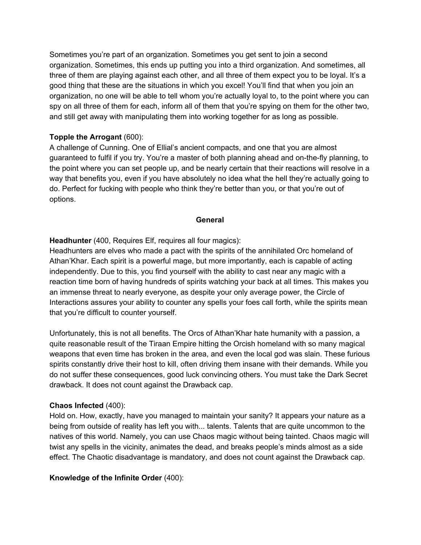Sometimes you're part of an organization. Sometimes you get sent to join a second organization. Sometimes, this ends up putting you into a third organization. And sometimes, all three of them are playing against each other, and all three of them expect you to be loyal. It's a good thing that these are the situations in which you excel! You'll find that when you join an organization, no one will be able to tell whom you're actually loyal to, to the point where you can spy on all three of them for each, inform all of them that you're spying on them for the other two, and still get away with manipulating them into working together for as long as possible.

### **Topple the Arrogant** (600):

A challenge of Cunning. One of Ellial's ancient compacts, and one that you are almost guaranteed to fulfil if you try. You're a master of both planning ahead and on-the-fly planning, to the point where you can set people up, and be nearly certain that their reactions will resolve in a way that benefits you, even if you have absolutely no idea what the hell they're actually going to do. Perfect for fucking with people who think they're better than you, or that you're out of options.

### **General**

### **Headhunter** (400, Requires Elf, requires all four magics):

Headhunters are elves who made a pact with the spirits of the annihilated Orc homeland of Athan'Khar. Each spirit is a powerful mage, but more importantly, each is capable of acting independently. Due to this, you find yourself with the ability to cast near any magic with a reaction time born of having hundreds of spirits watching your back at all times. This makes you an immense threat to nearly everyone, as despite your only average power, the Circle of Interactions assures your ability to counter any spells your foes call forth, while the spirits mean that you're difficult to counter yourself.

Unfortunately, this is not all benefits. The Orcs of Athan'Khar hate humanity with a passion, a quite reasonable result of the Tiraan Empire hitting the Orcish homeland with so many magical weapons that even time has broken in the area, and even the local god was slain. These furious spirits constantly drive their host to kill, often driving them insane with their demands. While you do not suffer these consequences, good luck convincing others. You must take the Dark Secret drawback. It does not count against the Drawback cap.

### **Chaos Infected** (400):

Hold on. How, exactly, have you managed to maintain your sanity? It appears your nature as a being from outside of reality has left you with... talents. Talents that are quite uncommon to the natives of this world. Namely, you can use Chaos magic without being tainted. Chaos magic will twist any spells in the vicinity, animates the dead, and breaks people's minds almost as a side effect. The Chaotic disadvantage is mandatory, and does not count against the Drawback cap.

### **Knowledge of the Infinite Order** (400):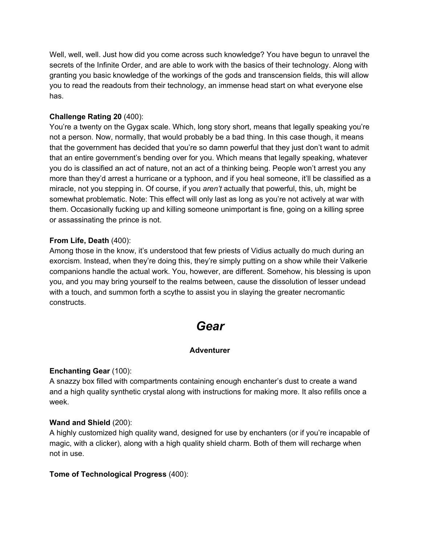Well, well, well. Just how did you come across such knowledge? You have begun to unravel the secrets of the Infinite Order, and are able to work with the basics of their technology. Along with granting you basic knowledge of the workings of the gods and transcension fields, this will allow you to read the readouts from their technology, an immense head start on what everyone else has.

### **Challenge Rating 20** (400):

You're a twenty on the Gygax scale. Which, long story short, means that legally speaking you're not a person. Now, normally, that would probably be a bad thing. In this case though, it means that the government has decided that you're so damn powerful that they just don't want to admit that an entire government's bending over for you. Which means that legally speaking, whatever you do is classified an act of nature, not an act of a thinking being. People won't arrest you any more than they'd arrest a hurricane or a typhoon, and if you heal someone, it'll be classified as a miracle, not you stepping in. Of course, if you *aren't* actually that powerful, this, uh, might be somewhat problematic. Note: This effect will only last as long as you're not actively at war with them. Occasionally fucking up and killing someone unimportant is fine, going on a killing spree or assassinating the prince is not.

### **From Life, Death** (400):

Among those in the know, it's understood that few priests of Vidius actually do much during an exorcism. Instead, when they're doing this, they're simply putting on a show while their Valkerie companions handle the actual work. You, however, are different. Somehow, his blessing is upon you, and you may bring yourself to the realms between, cause the dissolution of lesser undead with a touch, and summon forth a scythe to assist you in slaying the greater necromantic constructs.

### *Gear*

### **Adventurer**

### **Enchanting Gear** (100):

A snazzy box filled with compartments containing enough enchanter's dust to create a wand and a high quality synthetic crystal along with instructions for making more. It also refills once a week.

### **Wand and Shield** (200):

A highly customized high quality wand, designed for use by enchanters (or if you're incapable of magic, with a clicker), along with a high quality shield charm. Both of them will recharge when not in use.

### **Tome of Technological Progress** (400):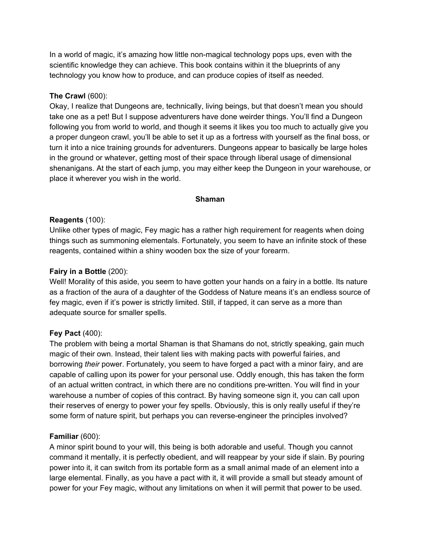In a world of magic, it's amazing how little non-magical technology pops ups, even with the scientific knowledge they can achieve. This book contains within it the blueprints of any technology you know how to produce, and can produce copies of itself as needed.

### **The Crawl** (600):

Okay, I realize that Dungeons are, technically, living beings, but that doesn't mean you should take one as a pet! But I suppose adventurers have done weirder things. You'll find a Dungeon following you from world to world, and though it seems it likes you too much to actually give you a proper dungeon crawl, you'll be able to set it up as a fortress with yourself as the final boss, or turn it into a nice training grounds for adventurers. Dungeons appear to basically be large holes in the ground or whatever, getting most of their space through liberal usage of dimensional shenanigans. At the start of each jump, you may either keep the Dungeon in your warehouse, or place it wherever you wish in the world.

### **Shaman**

### **Reagents** (100):

Unlike other types of magic, Fey magic has a rather high requirement for reagents when doing things such as summoning elementals. Fortunately, you seem to have an infinite stock of these reagents, contained within a shiny wooden box the size of your forearm.

### **Fairy in a Bottle** (200):

Well! Morality of this aside, you seem to have gotten your hands on a fairy in a bottle. Its nature as a fraction of the aura of a daughter of the Goddess of Nature means it's an endless source of fey magic, even if it's power is strictly limited. Still, if tapped, it can serve as a more than adequate source for smaller spells.

### **Fey Pact** (400):

The problem with being a mortal Shaman is that Shamans do not, strictly speaking, gain much magic of their own. Instead, their talent lies with making pacts with powerful fairies, and borrowing *their* power. Fortunately, you seem to have forged a pact with a minor fairy, and are capable of calling upon its power for your personal use. Oddly enough, this has taken the form of an actual written contract, in which there are no conditions pre-written. You will find in your warehouse a number of copies of this contract. By having someone sign it, you can call upon their reserves of energy to power your fey spells. Obviously, this is only really useful if they're some form of nature spirit, but perhaps you can reverse-engineer the principles involved?

### **Familiar** (600):

A minor spirit bound to your will, this being is both adorable and useful. Though you cannot command it mentally, it is perfectly obedient, and will reappear by your side if slain. By pouring power into it, it can switch from its portable form as a small animal made of an element into a large elemental. Finally, as you have a pact with it, it will provide a small but steady amount of power for your Fey magic, without any limitations on when it will permit that power to be used.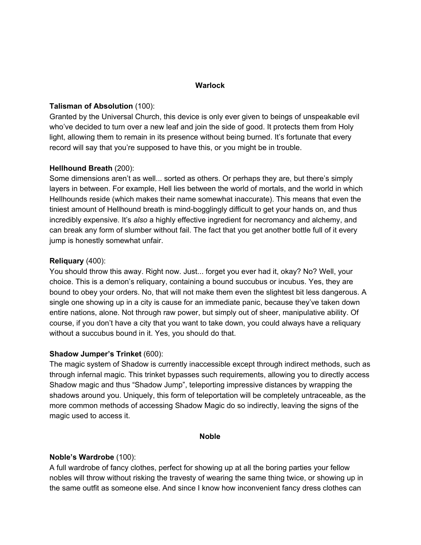### **Warlock**

### **Talisman of Absolution** (100):

Granted by the Universal Church, this device is only ever given to beings of unspeakable evil who've decided to turn over a new leaf and join the side of good. It protects them from Holy light, allowing them to remain in its presence without being burned. It's fortunate that every record will say that you're supposed to have this, or you might be in trouble.

### **Hellhound Breath** (200):

Some dimensions aren't as well... sorted as others. Or perhaps they are, but there's simply layers in between. For example, Hell lies between the world of mortals, and the world in which Hellhounds reside (which makes their name somewhat inaccurate). This means that even the tiniest amount of Hellhound breath is mind-bogglingly difficult to get your hands on, and thus incredibly expensive. It's *also* a highly effective ingredient for necromancy and alchemy, and can break any form of slumber without fail. The fact that you get another bottle full of it every jump is honestly somewhat unfair.

### **Reliquary** (400):

You should throw this away. Right now. Just... forget you ever had it, okay? No? Well, your choice. This is a demon's reliquary, containing a bound succubus or incubus. Yes, they are bound to obey your orders. No, that will not make them even the slightest bit less dangerous. A single one showing up in a city is cause for an immediate panic, because they've taken down entire nations, alone. Not through raw power, but simply out of sheer, manipulative ability. Of course, if you don't have a city that you want to take down, you could always have a reliquary without a succubus bound in it. Yes, you should do that.

#### **Shadow Jumper's Trinket** (600):

The magic system of Shadow is currently inaccessible except through indirect methods, such as through infernal magic. This trinket bypasses such requirements, allowing you to directly access Shadow magic and thus "Shadow Jump", teleporting impressive distances by wrapping the shadows around you. Uniquely, this form of teleportation will be completely untraceable, as the more common methods of accessing Shadow Magic do so indirectly, leaving the signs of the magic used to access it.

#### **Noble**

#### **Noble's Wardrobe** (100):

A full wardrobe of fancy clothes, perfect for showing up at all the boring parties your fellow nobles will throw without risking the travesty of wearing the same thing twice, or showing up in the same outfit as someone else. And since I know how inconvenient fancy dress clothes can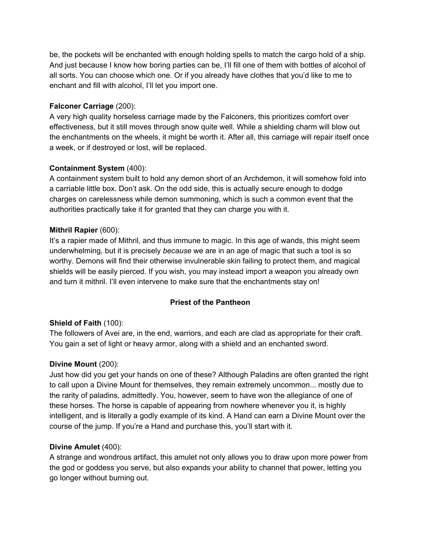be, the pockets will be enchanted with enough holding spells to match the cargo hold of a ship. And just because I know how boring parties can be, I'll fill one of them with bottles of alcohol of all sorts. You can choose which one. Or if you already have clothes that you'd like to me to enchant and fill with alcohol, I'll let you import one.

### **Falconer Carriage** (200):

A very high quality horseless carriage made by the Falconers, this prioritizes comfort over effectiveness, but it still moves through snow quite well. While a shielding charm will blow out the enchantments on the wheels, it might be worth it. After all, this carriage will repair itself once a week, or if destroyed or lost, will be replaced.

### **Containment System** (400):

A containment system built to hold any demon short of an Archdemon, it will somehow fold into a carriable little box. Don't ask. On the odd side, this is actually secure enough to dodge charges on carelessness while demon summoning, which is such a common event that the authorities practically take it for granted that they can charge you with it.

### **Mithril Rapier** (600):

It's a rapier made of Mithril, and thus immune to magic. In this age of wands, this might seem underwhelming, but it is precisely *because* we are in an age of magic that such a tool is so worthy. Demons will find their otherwise invulnerable skin failing to protect them, and magical shields will be easily pierced. If you wish, you may instead import a weapon you already own and turn it mithril. I'll even intervene to make sure that the enchantments stay on!

### **Priest of the Pantheon**

### **Shield of Faith** (100):

The followers of Avei are, in the end, warriors, and each are clad as appropriate for their craft. You gain a set of light or heavy armor, along with a shield and an enchanted sword.

### **Divine Mount** (200):

Just how did you get your hands on one of these? Although Paladins are often granted the right to call upon a Divine Mount for themselves, they remain extremely uncommon... mostly due to the rarity of paladins, admittedly. You, however, seem to have won the allegiance of one of these horses. The horse is capable of appearing from nowhere whenever you it, is highly intelligent, and is literally a godly example of its kind. A Hand can earn a Divine Mount over the course of the jump. If you're a Hand and purchase this, you'll start with it.

### **Divine Amulet** (400):

A strange and wondrous artifact, this amulet not only allows you to draw upon more power from the god or goddess you serve, but also expands your ability to channel that power, letting you go longer without burning out.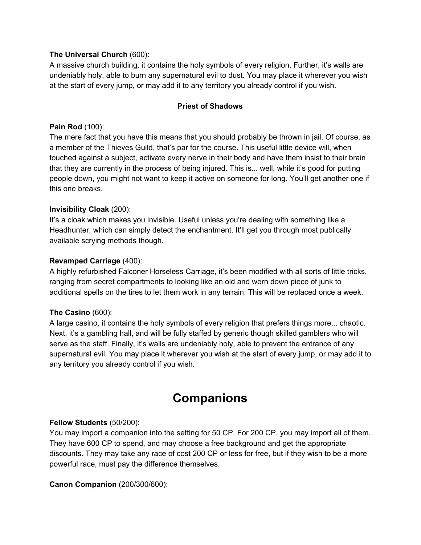### **The Universal Church** (600):

A massive church building, it contains the holy symbols of every religion. Further, it's walls are undeniably holy, able to burn any supernatural evil to dust. You may place it wherever you wish at the start of every jump, or may add it to any territory you already control if you wish.

### **Priest of Shadows**

### **Pain Rod** (100):

The mere fact that you have this means that you should probably be thrown in jail. Of course, as a member of the Thieves Guild, that's par for the course. This useful little device will, when touched against a subject, activate every nerve in their body and have them insist to their brain that they are currently in the process of being injured. This is... well, while it's good for putting people down, you might not want to keep it active on someone for long. You'll get another one if this one breaks.

### **Invisibility Cloak** (200):

It's a cloak which makes you invisible. Useful unless you're dealing with something like a Headhunter, which can simply detect the enchantment. It'll get you through most publically available scrying methods though.

### **Revamped Carriage** (400):

A highly refurbished Falconer Horseless Carriage, it's been modified with all sorts of little tricks, ranging from secret compartments to looking like an old and worn down piece of junk to additional spells on the tires to let them work in any terrain. This will be replaced once a week.

### **The Casino** (600):

A large casino, it contains the holy symbols of every religion that prefers things more... chaotic. Next, it's a gambling hall, and will be fully staffed by generic though skilled gamblers who will serve as the staff. Finally, it's walls are undeniably holy, able to prevent the entrance of any supernatural evil. You may place it wherever you wish at the start of every jump, or may add it to any territory you already control if you wish.

### **Companions**

### **Fellow Students** (50/200):

You may import a companion into the setting for 50 CP. For 200 CP, you may import all of them. They have 600 CP to spend, and may choose a free background and get the appropriate discounts. They may take any race of cost 200 CP or less for free, but if they wish to be a more powerful race, must pay the difference themselves.

### **Canon Companion** (200/300/600):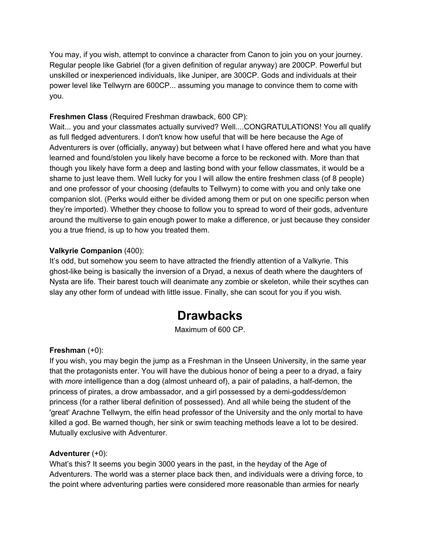You may, if you wish, attempt to convince a character from Canon to join you on your journey. Regular people like Gabriel (for a given definition of regular anyway) are 200CP. Powerful but unskilled or inexperienced individuals, like Juniper, are 300CP. Gods and individuals at their power level like Tellwyrn are 600CP... assuming you manage to convince them to come with you.

### **Freshmen Class** (Required Freshman drawback, 600 CP):

Wait... you and your classmates actually survived? Well....CONGRATULATIONS! You all qualify as full fledged adventurers. I don't know how useful that will be here because the Age of Adventurers is over (officially, anyway) but between what I have offered here and what you have learned and found/stolen you likely have become a force to be reckoned with. More than that though you likely have form a deep and lasting bond with your fellow classmates, it would be a shame to just leave them. Well lucky for you I will allow the entire freshmen class (of 8 people) and one professor of your choosing (defaults to Tellwyrn) to come with you and only take one companion slot. (Perks would either be divided among them or put on one specific person when they're imported). Whether they choose to follow you to spread to word of their gods, adventure around the multiverse to gain enough power to make a difference, or just because they consider you a true friend, is up to how you treated them.

### **Valkyrie Companion** (400):

It's odd, but somehow you seem to have attracted the friendly attention of a Valkyrie. This ghost-like being is basically the inversion of a Dryad, a nexus of death where the daughters of Nysta are life. Their barest touch will deanimate any zombie or skeleton, while their scythes can slay any other form of undead with little issue. Finally, she can scout for you if you wish.

## **Drawbacks**

Maximum of 600 CP.

### **Freshman** (+0):

If you wish, you may begin the jump as a Freshman in the Unseen University, in the same year that the protagonists enter. You will have the dubious honor of being a peer to a dryad, a fairy with *more* intelligence than a dog (almost unheard of), a pair of paladins, a half-demon, the princess of pirates, a drow ambassador, and a girl possessed by a demi-goddess/demon princess (for a rather liberal definition of possessed). And all while being the student of the 'great' Arachne Tellwyrn, the elfin head professor of the University and the only mortal to have killed a god. Be warned though, her sink or swim teaching methods leave a lot to be desired. Mutually exclusive with Adventurer.

### **Adventurer** (+0):

What's this? It seems you begin 3000 years in the past, in the heyday of the Age of Adventurers. The world was a sterner place back then, and individuals were a driving force, to the point where adventuring parties were considered more reasonable than armies for nearly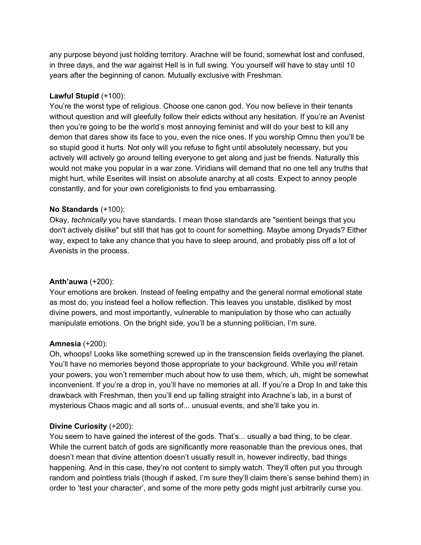any purpose beyond just holding territory. Arachne will be found, somewhat lost and confused, in three days, and the war against Hell is in full swing. You yourself will have to stay until 10 years after the beginning of canon. Mutually exclusive with Freshman.

### **Lawful Stupid** (+100):

You're the worst type of religious. Choose one canon god. You now believe in their tenants without question and will gleefully follow their edicts without any hesitation. If you're an Avenist then you're going to be the world's most annoying feminist and will do your best to kill any demon that dares show its face to you, even the nice ones. If you worship Omnu then you'll be so stupid good it hurts. Not only will you refuse to fight until absolutely necessary, but you actively will actively go around telling everyone to get along and just be friends. Naturally this would not make you popular in a war zone. Viridians will demand that no one tell any truths that might hurt, while Eserites will insist on absolute anarchy at all costs. Expect to annoy people constantly, and for your own coreligionists to find you embarrassing.

### **No Standards** (+100):

Okay, *technically* you have standards. I mean those standards are "sentient beings that you don't actively dislike" but still that has got to count for something. Maybe among Dryads? Either way, expect to take any chance that you have to sleep around, and probably piss off a lot of Avenists in the process.

### **Anth'auwa** (+200):

Your emotions are broken. Instead of feeling empathy and the general normal emotional state as most do, you instead feel a hollow reflection. This leaves you unstable, disliked by most divine powers, and most importantly, vulnerable to manipulation by those who can actually manipulate emotions. On the bright side, you'll be a stunning politician, I'm sure.

### **Amnesia** (+200):

Oh, whoops! Looks like something screwed up in the transcension fields overlaying the planet. You'll have no memories beyond those appropriate to your background. While you *will* retain your powers, you won't remember much about how to use them, which, uh, might be somewhat inconvenient. If you're a drop in, you'll have no memories at all. If you're a Drop In and take this drawback with Freshman, then you'll end up falling straight into Arachne's lab, in a burst of mysterious Chaos magic and all sorts of... unusual events, and she'll take you in.

### **Divine Curiosity** (+200):

You seem to have gained the interest of the gods. That's... usually a bad thing, to be clear. While the current batch of gods are significantly more reasonable than the previous ones, that doesn't mean that divine attention doesn't usually result in, however indirectly, bad things happening. And in this case, they're not content to simply watch. They'll often put you through random and pointless trials (though if asked, I'm sure they'll claim there's sense behind them) in order to 'test your character', and some of the more petty gods might just arbitrarily curse you.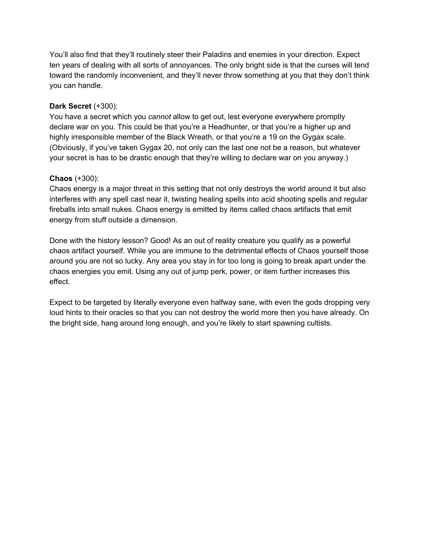You'll also find that they'll routinely steer their Paladins and enemies in your direction. Expect ten years of dealing with all sorts of annoyances. The only bright side is that the curses will tend toward the randomly inconvenient, and they'll never throw something at you that they don't think you can handle.

### **Dark Secret** (+300):

You have a secret which you *cannot* allow to get out, lest everyone everywhere promptly declare war on you. This could be that you're a Headhunter, or that you're a higher up and highly irresponsible member of the Black Wreath, or that you're a 19 on the Gygax scale. (Obviously, if you've taken Gygax 20, not only can the last one not be a reason, but whatever your secret is has to be drastic enough that they're willing to declare war on you anyway.)

### **Chaos** (+300):

Chaos energy is a major threat in this setting that not only destroys the world around it but also interferes with any spell cast near it, twisting healing spells into acid shooting spells and regular fireballs into small nukes. Chaos energy is emitted by items called chaos artifacts that emit energy from stuff outside a dimension.

Done with the history lesson? Good! As an out of reality creature you qualify as a powerful chaos artifact yourself. While you are immune to the detrimental effects of Chaos yourself those around you are not so lucky. Any area you stay in for too long is going to break apart under the chaos energies you emit. Using any out of jump perk, power, or item further increases this effect.

Expect to be targeted by literally everyone even halfway sane, with even the gods dropping very loud hints to their oracles so that you can not destroy the world more then you have already. On the bright side, hang around long enough, and you're likely to start spawning cultists.